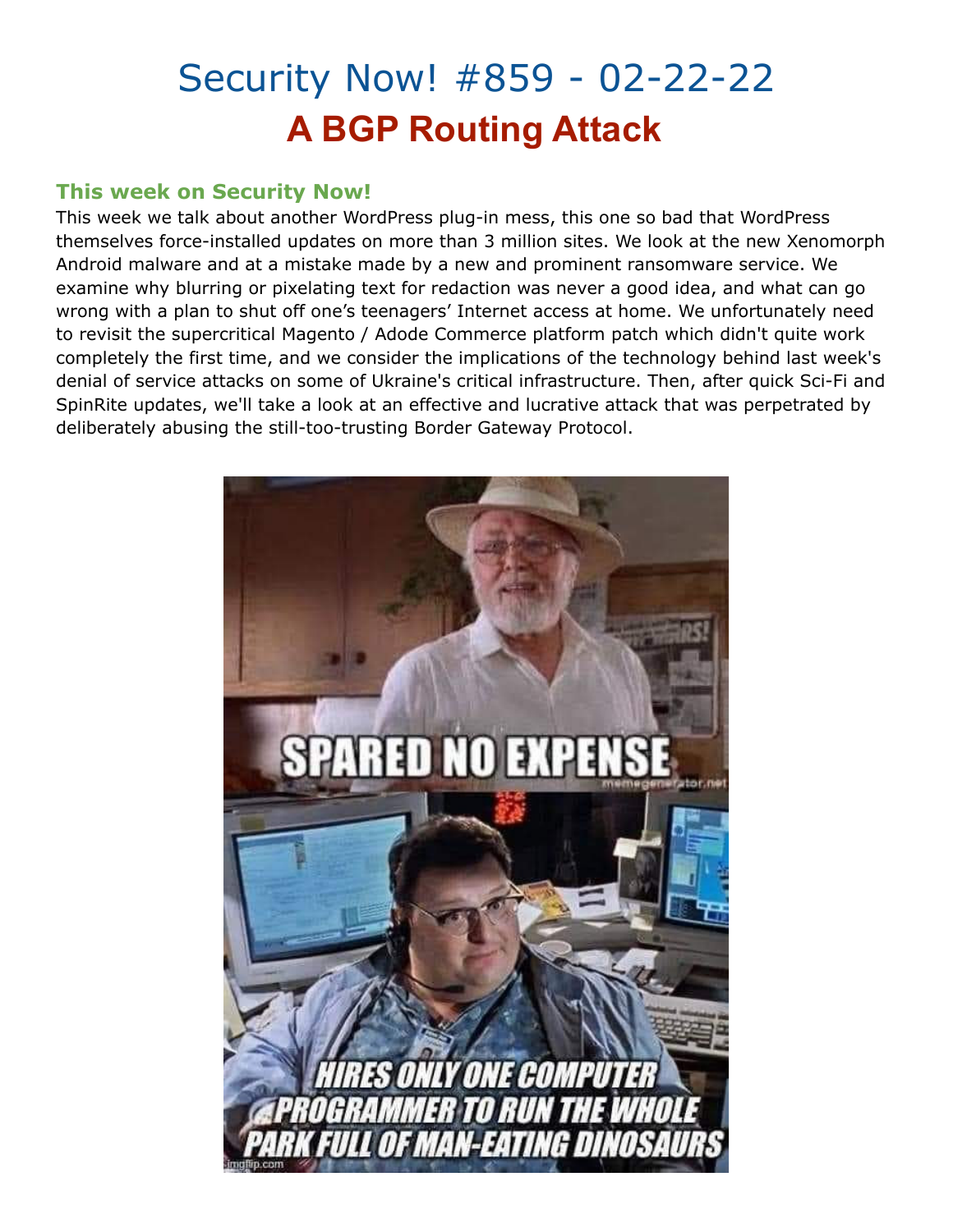# Security Now! #859 - 02-22-22 **A BGP Routing Attack**

## **This week on Security Now!**

This week we talk about another WordPress plug-in mess, this one so bad that WordPress themselves force-installed updates on more than 3 million sites. We look at the new Xenomorph Android malware and at a mistake made by a new and prominent ransomware service. We examine why blurring or pixelating text for redaction was never a good idea, and what can go wrong with a plan to shut off one's teenagers' Internet access at home. We unfortunately need to revisit the supercritical Magento / Adode Commerce platform patch which didn't quite work completely the first time, and we consider the implications of the technology behind last week's denial of service attacks on some of Ukraine's critical infrastructure. Then, after quick Sci-Fi and SpinRite updates, we'll take a look at an effective and lucrative attack that was perpetrated by deliberately abusing the still-too-trusting Border Gateway Protocol.

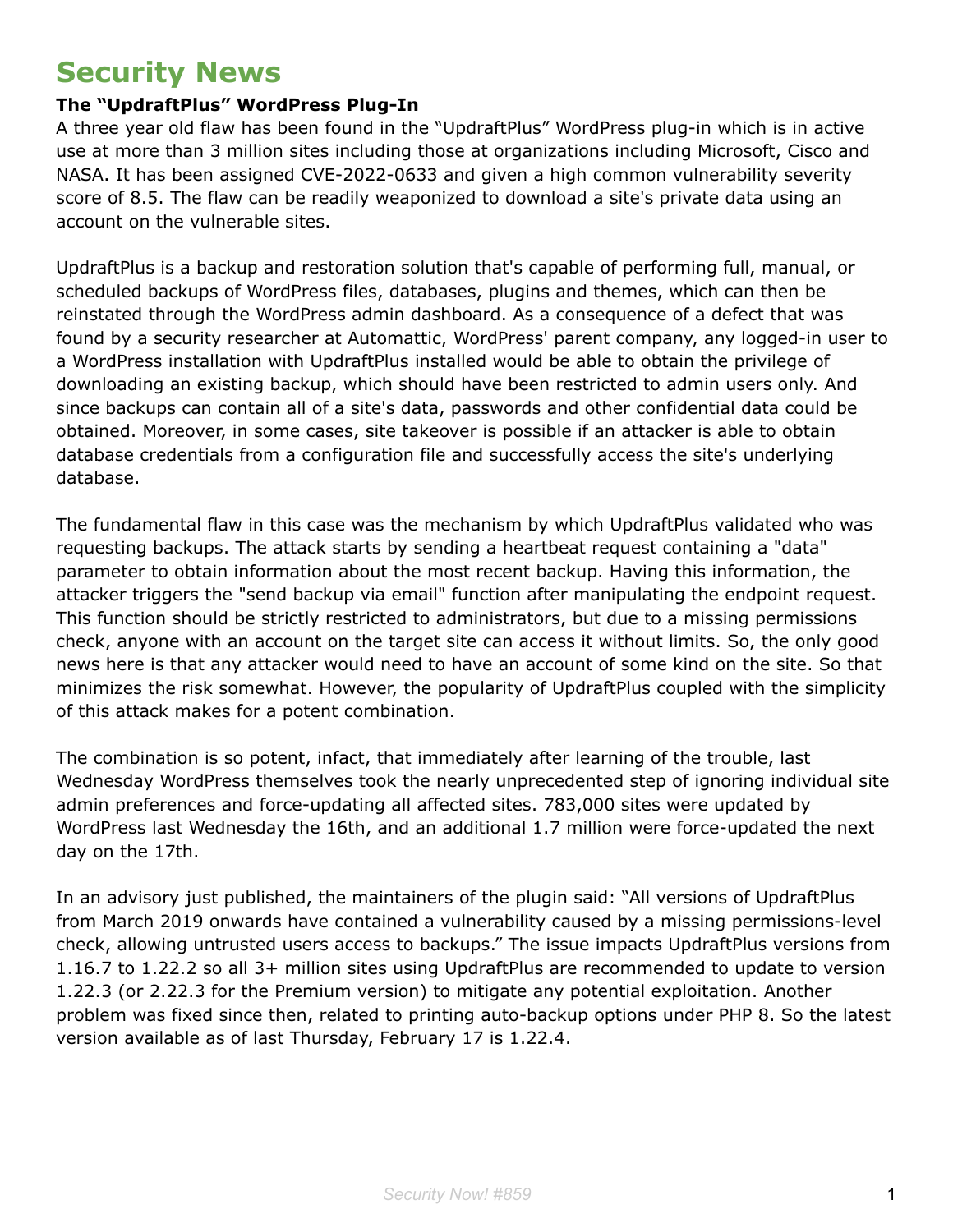## **Security News**

## **The "UpdraftPlus" WordPress Plug-In**

A three year old flaw has been found in the "UpdraftPlus" WordPress plug-in which is in active use at more than 3 million sites including those at organizations including Microsoft, Cisco and NASA. It has been assigned CVE-2022-0633 and given a high common vulnerability severity score of 8.5. The flaw can be readily weaponized to download a site's private data using an account on the vulnerable sites.

UpdraftPlus is a backup and restoration solution that's capable of performing full, manual, or scheduled backups of WordPress files, databases, plugins and themes, which can then be reinstated through the WordPress admin dashboard. As a consequence of a defect that was found by a security researcher at Automattic, WordPress' parent company, any logged-in user to a WordPress installation with UpdraftPlus installed would be able to obtain the privilege of downloading an existing backup, which should have been restricted to admin users only. And since backups can contain all of a site's data, passwords and other confidential data could be obtained. Moreover, in some cases, site takeover is possible if an attacker is able to obtain database credentials from a configuration file and successfully access the site's underlying database.

The fundamental flaw in this case was the mechanism by which UpdraftPlus validated who was requesting backups. The attack starts by sending a heartbeat request containing a "data" parameter to obtain information about the most recent backup. Having this information, the attacker triggers the "send backup via email" function after manipulating the endpoint request. This function should be strictly restricted to administrators, but due to a missing permissions check, anyone with an account on the target site can access it without limits. So, the only good news here is that any attacker would need to have an account of some kind on the site. So that minimizes the risk somewhat. However, the popularity of UpdraftPlus coupled with the simplicity of this attack makes for a potent combination.

The combination is so potent, infact, that immediately after learning of the trouble, last Wednesday WordPress themselves took the nearly unprecedented step of ignoring individual site admin preferences and force-updating all affected sites. 783,000 sites were updated by WordPress last Wednesday the 16th, and an additional 1.7 million were force-updated the next day on the 17th.

In an advisory just published, the maintainers of the plugin said: "All versions of UpdraftPlus from March 2019 onwards have contained a vulnerability caused by a missing permissions-level check, allowing untrusted users access to backups." The issue impacts UpdraftPlus versions from 1.16.7 to 1.22.2 so all 3+ million sites using UpdraftPlus are recommended to update to version 1.22.3 (or 2.22.3 for the Premium version) to mitigate any potential exploitation. Another problem was fixed since then, related to printing auto-backup options under PHP 8. So the latest version available as of last Thursday, February 17 is 1.22.4.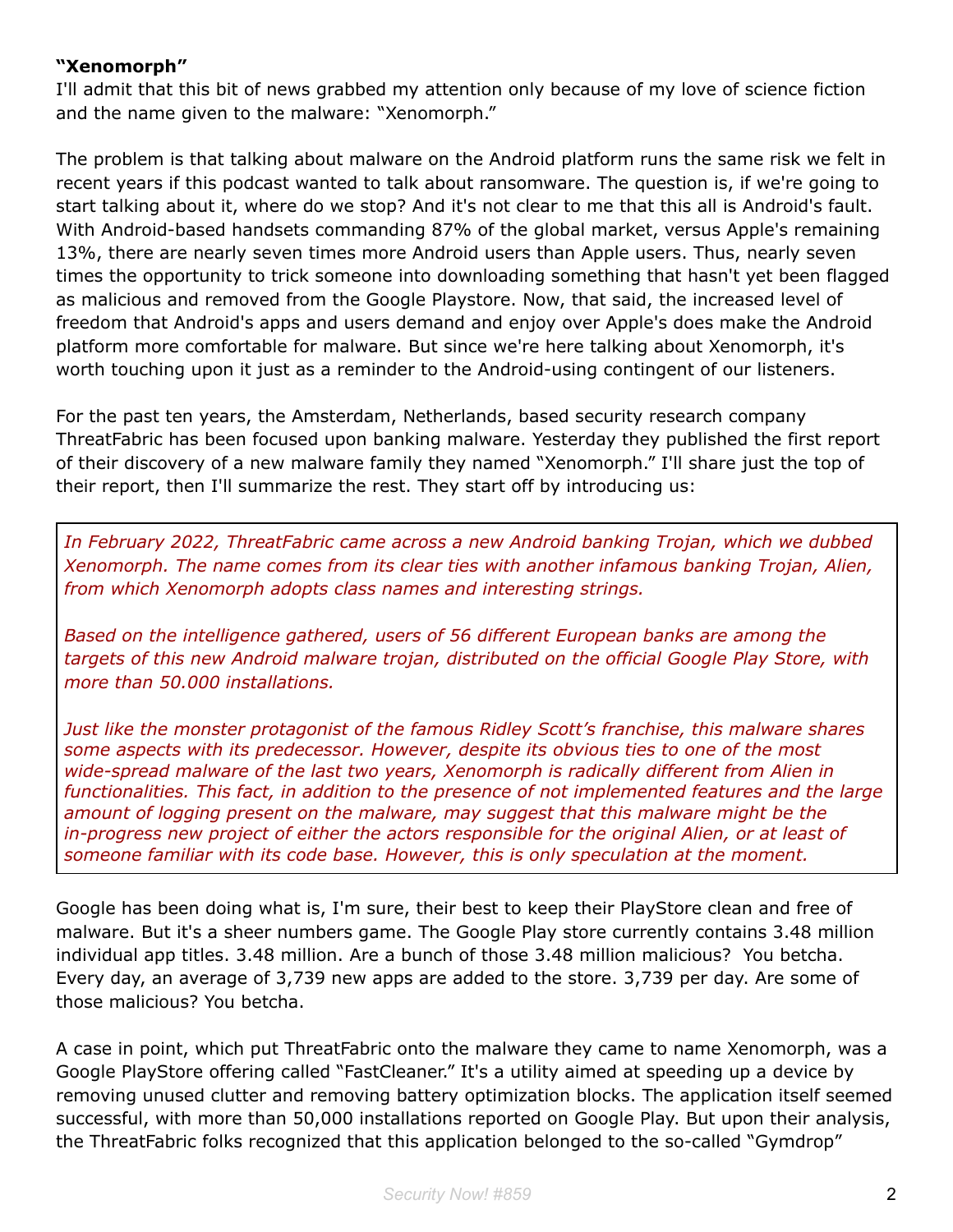#### **"Xenomorph"**

I'll admit that this bit of news grabbed my attention only because of my love of science fiction and the name given to the malware: "Xenomorph."

The problem is that talking about malware on the Android platform runs the same risk we felt in recent years if this podcast wanted to talk about ransomware. The question is, if we're going to start talking about it, where do we stop? And it's not clear to me that this all is Android's fault. With Android-based handsets commanding 87% of the global market, versus Apple's remaining 13%, there are nearly seven times more Android users than Apple users. Thus, nearly seven times the opportunity to trick someone into downloading something that hasn't yet been flagged as malicious and removed from the Google Playstore. Now, that said, the increased level of freedom that Android's apps and users demand and enjoy over Apple's does make the Android platform more comfortable for malware. But since we're here talking about Xenomorph, it's worth touching upon it just as a reminder to the Android-using contingent of our listeners.

For the past ten years, the Amsterdam, Netherlands, based security research company ThreatFabric has been focused upon banking malware. Yesterday they published the first report of their discovery of a new malware family they named "Xenomorph." I'll share just the top of their report, then I'll summarize the rest. They start off by introducing us:

*In February 2022, ThreatFabric came across a new Android banking Trojan, which we dubbed Xenomorph. The name comes from its clear ties with another infamous banking Trojan, Alien, from which Xenomorph adopts class names and interesting strings.*

*Based on the intelligence gathered, users of 56 different European banks are among the targets of this new Android malware trojan, distributed on the official Google Play Store, with more than 50.000 installations.*

*Just like the monster protagonist of the famous Ridley Scott's franchise, this malware shares some aspects with its predecessor. However, despite its obvious ties to one of the most wide-spread malware of the last two years, Xenomorph is radically different from Alien in functionalities. This fact, in addition to the presence of not implemented features and the large amount of logging present on the malware, may suggest that this malware might be the in-progress new project of either the actors responsible for the original Alien, or at least of someone familiar with its code base. However, this is only speculation at the moment.*

Google has been doing what is, I'm sure, their best to keep their PlayStore clean and free of malware. But it's a sheer numbers game. The Google Play store currently contains 3.48 million individual app titles. 3.48 million. Are a bunch of those 3.48 million malicious? You betcha. Every day, an average of 3,739 new apps are added to the store. 3,739 per day. Are some of those malicious? You betcha.

A case in point, which put ThreatFabric onto the malware they came to name Xenomorph, was a Google PlayStore offering called "FastCleaner." It's a utility aimed at speeding up a device by removing unused clutter and removing battery optimization blocks. The application itself seemed successful, with more than 50,000 installations reported on Google Play. But upon their analysis, the ThreatFabric folks recognized that this application belonged to the so-called "Gymdrop"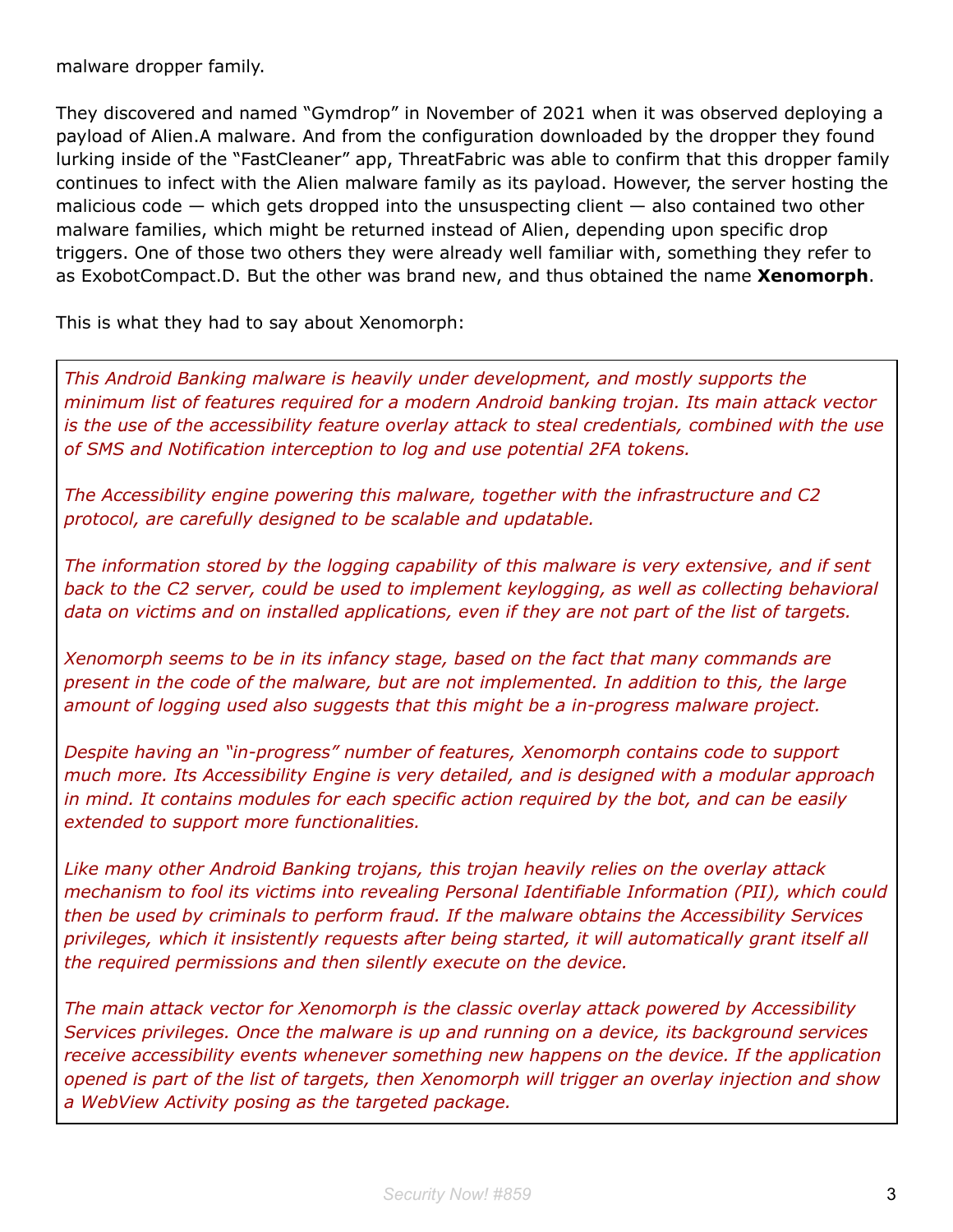malware dropper family.

They discovered and named "Gymdrop" in November of 2021 when it was observed deploying a payload of Alien.A malware. And from the configuration downloaded by the dropper they found lurking inside of the "FastCleaner" app, ThreatFabric was able to confirm that this dropper family continues to infect with the Alien malware family as its payload. However, the server hosting the malicious code  $-$  which gets dropped into the unsuspecting client  $-$  also contained two other malware families, which might be returned instead of Alien, depending upon specific drop triggers. One of those two others they were already well familiar with, something they refer to as ExobotCompact.D. But the other was brand new, and thus obtained the name **Xenomorph**.

This is what they had to say about Xenomorph:

*This Android Banking malware is heavily under development, and mostly supports the minimum list of features required for a modern Android banking trojan. Its main attack vector is the use of the accessibility feature overlay attack to steal credentials, combined with the use of SMS and Notification interception to log and use potential 2FA tokens.*

*The Accessibility engine powering this malware, together with the infrastructure and C2 protocol, are carefully designed to be scalable and updatable.*

*The information stored by the logging capability of this malware is very extensive, and if sent back to the C2 server, could be used to implement keylogging, as well as collecting behavioral data on victims and on installed applications, even if they are not part of the list of targets.*

*Xenomorph seems to be in its infancy stage, based on the fact that many commands are present in the code of the malware, but are not implemented. In addition to this, the large amount of logging used also suggests that this might be a in-progress malware project.*

*Despite having an "in-progress" number of features, Xenomorph contains code to support much more. Its Accessibility Engine is very detailed, and is designed with a modular approach in mind. It contains modules for each specific action required by the bot, and can be easily extended to support more functionalities.*

*Like many other Android Banking trojans, this trojan heavily relies on the overlay attack mechanism to fool its victims into revealing Personal Identifiable Information (PII), which could then be used by criminals to perform fraud. If the malware obtains the Accessibility Services privileges, which it insistently requests after being started, it will automatically grant itself all the required permissions and then silently execute on the device.*

*The main attack vector for Xenomorph is the classic overlay attack powered by Accessibility Services privileges. Once the malware is up and running on a device, its background services receive accessibility events whenever something new happens on the device. If the application opened is part of the list of targets, then Xenomorph will trigger an overlay injection and show a WebView Activity posing as the targeted package.*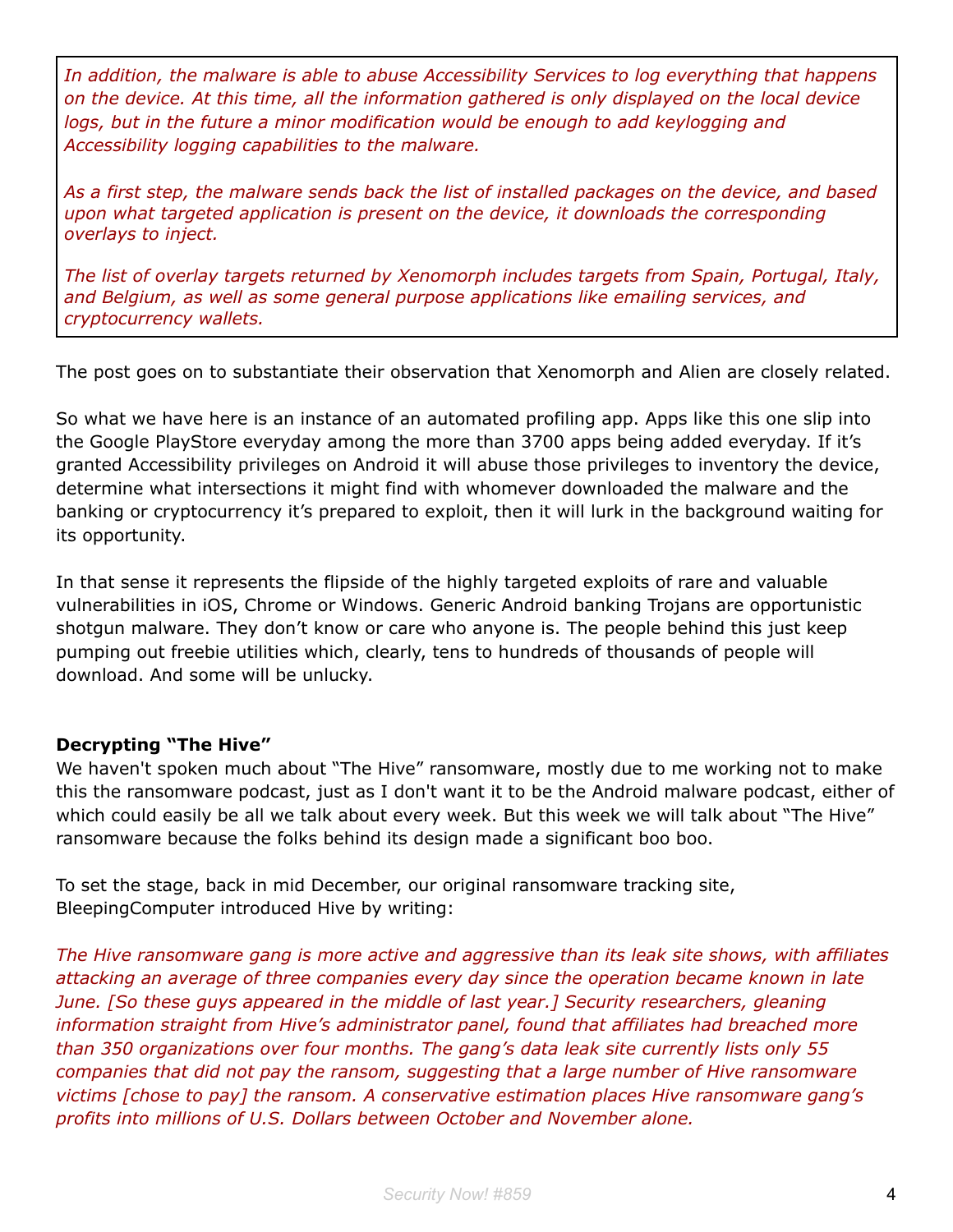*In addition, the malware is able to abuse Accessibility Services to log everything that happens on the device. At this time, all the information gathered is only displayed on the local device logs, but in the future a minor modification would be enough to add keylogging and Accessibility logging capabilities to the malware.*

*As a first step, the malware sends back the list of installed packages on the device, and based upon what targeted application is present on the device, it downloads the corresponding overlays to inject.*

*The list of overlay targets returned by Xenomorph includes targets from Spain, Portugal, Italy, and Belgium, as well as some general purpose applications like emailing services, and cryptocurrency wallets.*

The post goes on to substantiate their observation that Xenomorph and Alien are closely related.

So what we have here is an instance of an automated profiling app. Apps like this one slip into the Google PlayStore everyday among the more than 3700 apps being added everyday. If it's granted Accessibility privileges on Android it will abuse those privileges to inventory the device, determine what intersections it might find with whomever downloaded the malware and the banking or cryptocurrency it's prepared to exploit, then it will lurk in the background waiting for its opportunity.

In that sense it represents the flipside of the highly targeted exploits of rare and valuable vulnerabilities in iOS, Chrome or Windows. Generic Android banking Trojans are opportunistic shotgun malware. They don't know or care who anyone is. The people behind this just keep pumping out freebie utilities which, clearly, tens to hundreds of thousands of people will download. And some will be unlucky.

## **Decrypting "The Hive"**

We haven't spoken much about "The Hive" ransomware, mostly due to me working not to make this the ransomware podcast, just as I don't want it to be the Android malware podcast, either of which could easily be all we talk about every week. But this week we will talk about "The Hive" ransomware because the folks behind its design made a significant boo boo.

To set the stage, back in mid December, our original ransomware tracking site, BleepingComputer introduced Hive by writing:

*The Hive ransomware gang is more active and aggressive than its leak site shows, with affiliates attacking an average of three companies every day since the operation became known in late June. [So these guys appeared in the middle of last year.] Security researchers, gleaning information straight from Hive's administrator panel, found that affiliates had breached more than 350 organizations over four months. The gang's data leak site currently lists only 55 companies that did not pay the ransom, suggesting that a large number of Hive ransomware victims [chose to pay] the ransom. A conservative estimation places Hive ransomware gang's profits into millions of U.S. Dollars between October and November alone.*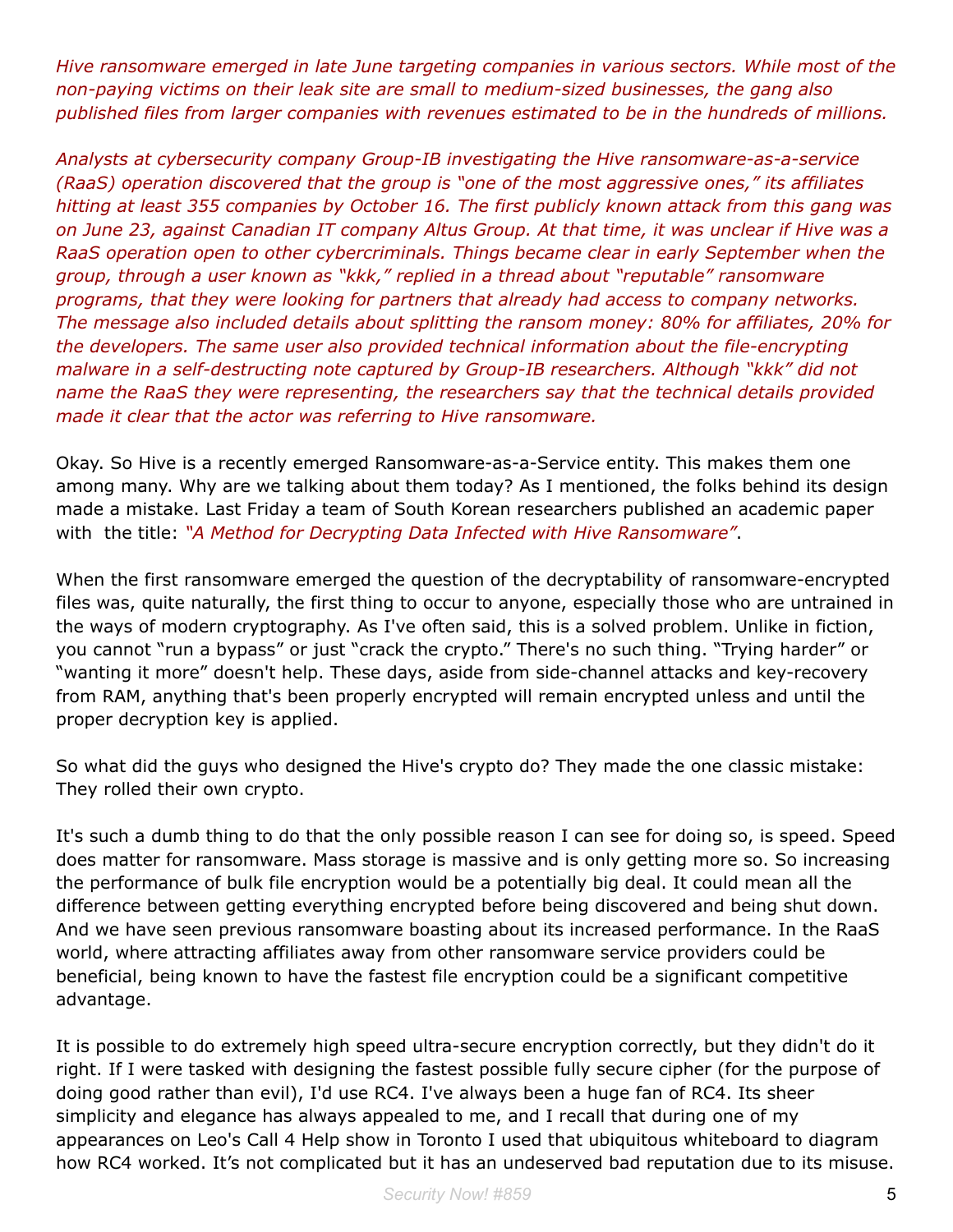*Hive ransomware emerged in late June targeting companies in various sectors. While most of the non-paying victims on their leak site are small to medium-sized businesses, the gang also published files from larger companies with revenues estimated to be in the hundreds of millions.*

*Analysts at cybersecurity company Group-IB investigating the Hive ransomware-as-a-service (RaaS) operation discovered that the group is "one of the most aggressive ones," its affiliates hitting at least 355 companies by October 16. The first publicly known attack from this gang was on June 23, against Canadian IT company Altus Group. At that time, it was unclear if Hive was a RaaS operation open to other cybercriminals. Things became clear in early September when the group, through a user known as "kkk," replied in a thread about "reputable" ransomware programs, that they were looking for partners that already had access to company networks. The message also included details about splitting the ransom money: 80% for affiliates, 20% for the developers. The same user also provided technical information about the file-encrypting malware in a self-destructing note captured by Group-IB researchers. Although "kkk" did not name the RaaS they were representing, the researchers say that the technical details provided made it clear that the actor was referring to Hive ransomware.*

Okay. So Hive is a recently emerged Ransomware-as-a-Service entity. This makes them one among many. Why are we talking about them today? As I mentioned, the folks behind its design made a mistake. Last Friday a team of South Korean researchers published an academic paper with the title: *"A Method for Decrypting Data Infected with Hive Ransomware"*.

When the first ransomware emerged the question of the decryptability of ransomware-encrypted files was, quite naturally, the first thing to occur to anyone, especially those who are untrained in the ways of modern cryptography. As I've often said, this is a solved problem. Unlike in fiction, you cannot "run a bypass" or just "crack the crypto." There's no such thing. "Trying harder" or "wanting it more" doesn't help. These days, aside from side-channel attacks and key-recovery from RAM, anything that's been properly encrypted will remain encrypted unless and until the proper decryption key is applied.

So what did the guys who designed the Hive's crypto do? They made the one classic mistake: They rolled their own crypto.

It's such a dumb thing to do that the only possible reason I can see for doing so, is speed. Speed does matter for ransomware. Mass storage is massive and is only getting more so. So increasing the performance of bulk file encryption would be a potentially big deal. It could mean all the difference between getting everything encrypted before being discovered and being shut down. And we have seen previous ransomware boasting about its increased performance. In the RaaS world, where attracting affiliates away from other ransomware service providers could be beneficial, being known to have the fastest file encryption could be a significant competitive advantage.

It is possible to do extremely high speed ultra-secure encryption correctly, but they didn't do it right. If I were tasked with designing the fastest possible fully secure cipher (for the purpose of doing good rather than evil), I'd use RC4. I've always been a huge fan of RC4. Its sheer simplicity and elegance has always appealed to me, and I recall that during one of my appearances on Leo's Call 4 Help show in Toronto I used that ubiquitous whiteboard to diagram how RC4 worked. It's not complicated but it has an undeserved bad reputation due to its misuse.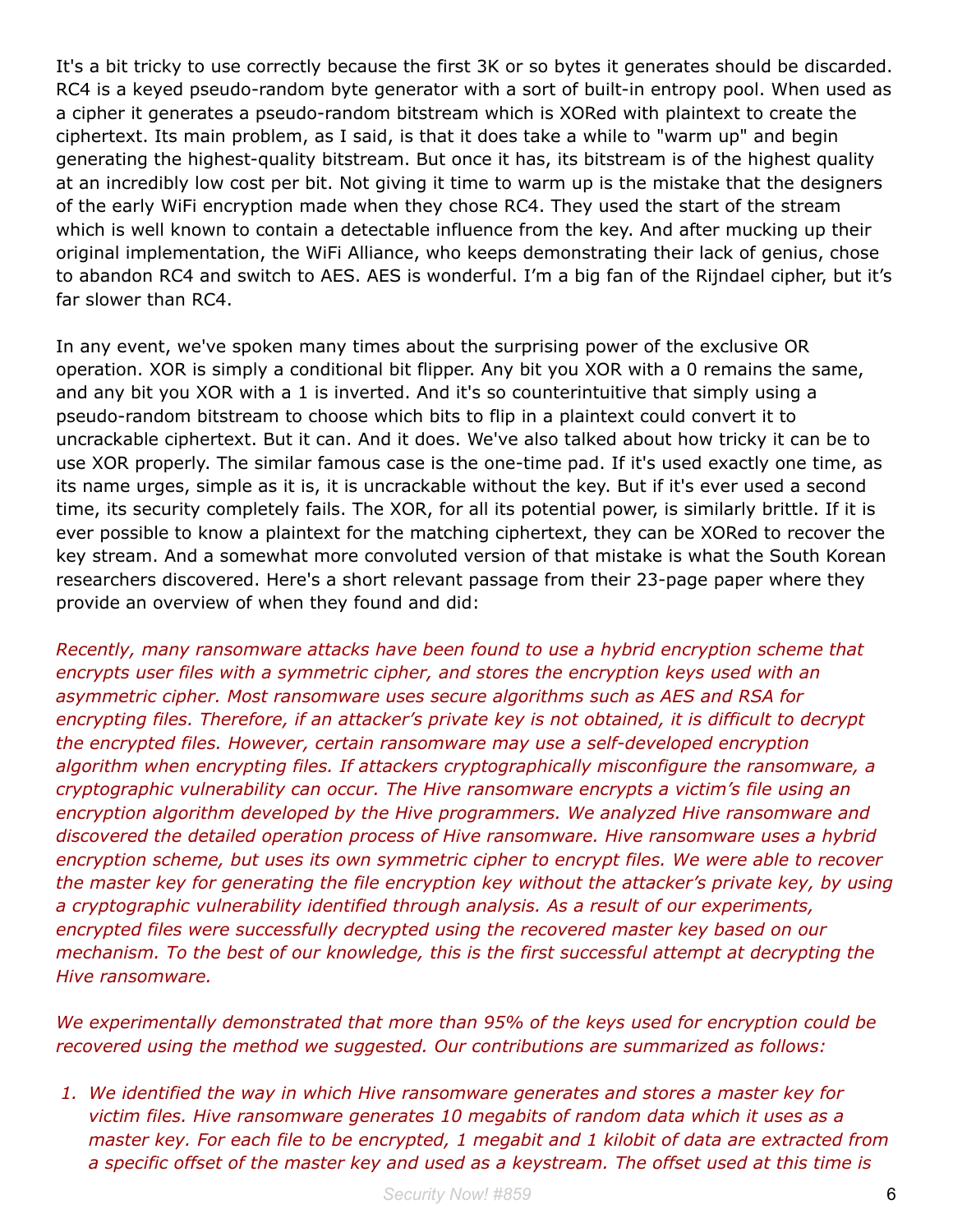It's a bit tricky to use correctly because the first 3K or so bytes it generates should be discarded. RC4 is a keyed pseudo-random byte generator with a sort of built-in entropy pool. When used as a cipher it generates a pseudo-random bitstream which is XORed with plaintext to create the ciphertext. Its main problem, as I said, is that it does take a while to "warm up" and begin generating the highest-quality bitstream. But once it has, its bitstream is of the highest quality at an incredibly low cost per bit. Not giving it time to warm up is the mistake that the designers of the early WiFi encryption made when they chose RC4. They used the start of the stream which is well known to contain a detectable influence from the key. And after mucking up their original implementation, the WiFi Alliance, who keeps demonstrating their lack of genius, chose to abandon RC4 and switch to AES. AES is wonderful. I'm a big fan of the Rijndael cipher, but it's far slower than RC4.

In any event, we've spoken many times about the surprising power of the exclusive OR operation. XOR is simply a conditional bit flipper. Any bit you XOR with a 0 remains the same, and any bit you XOR with a 1 is inverted. And it's so counterintuitive that simply using a pseudo-random bitstream to choose which bits to flip in a plaintext could convert it to uncrackable ciphertext. But it can. And it does. We've also talked about how tricky it can be to use XOR properly. The similar famous case is the one-time pad. If it's used exactly one time, as its name urges, simple as it is, it is uncrackable without the key. But if it's ever used a second time, its security completely fails. The XOR, for all its potential power, is similarly brittle. If it is ever possible to know a plaintext for the matching ciphertext, they can be XORed to recover the key stream. And a somewhat more convoluted version of that mistake is what the South Korean researchers discovered. Here's a short relevant passage from their 23-page paper where they provide an overview of when they found and did:

*Recently, many ransomware attacks have been found to use a hybrid encryption scheme that encrypts user files with a symmetric cipher, and stores the encryption keys used with an asymmetric cipher. Most ransomware uses secure algorithms such as AES and RSA for encrypting files. Therefore, if an attacker's private key is not obtained, it is difficult to decrypt the encrypted files. However, certain ransomware may use a self-developed encryption algorithm when encrypting files. If attackers cryptographically misconfigure the ransomware, a cryptographic vulnerability can occur. The Hive ransomware encrypts a victim's file using an encryption algorithm developed by the Hive programmers. We analyzed Hive ransomware and discovered the detailed operation process of Hive ransomware. Hive ransomware uses a hybrid encryption scheme, but uses its own symmetric cipher to encrypt files. We were able to recover the master key for generating the file encryption key without the attacker's private key, by using a cryptographic vulnerability identified through analysis. As a result of our experiments, encrypted files were successfully decrypted using the recovered master key based on our mechanism. To the best of our knowledge, this is the first successful attempt at decrypting the Hive ransomware.*

*We experimentally demonstrated that more than 95% of the keys used for encryption could be recovered using the method we suggested. Our contributions are summarized as follows:*

*1. We identified the way in which Hive ransomware generates and stores a master key for victim files. Hive ransomware generates 10 megabits of random data which it uses as a master key. For each file to be encrypted, 1 megabit and 1 kilobit of data are extracted from a specific offset of the master key and used as a keystream. The offset used at this time is*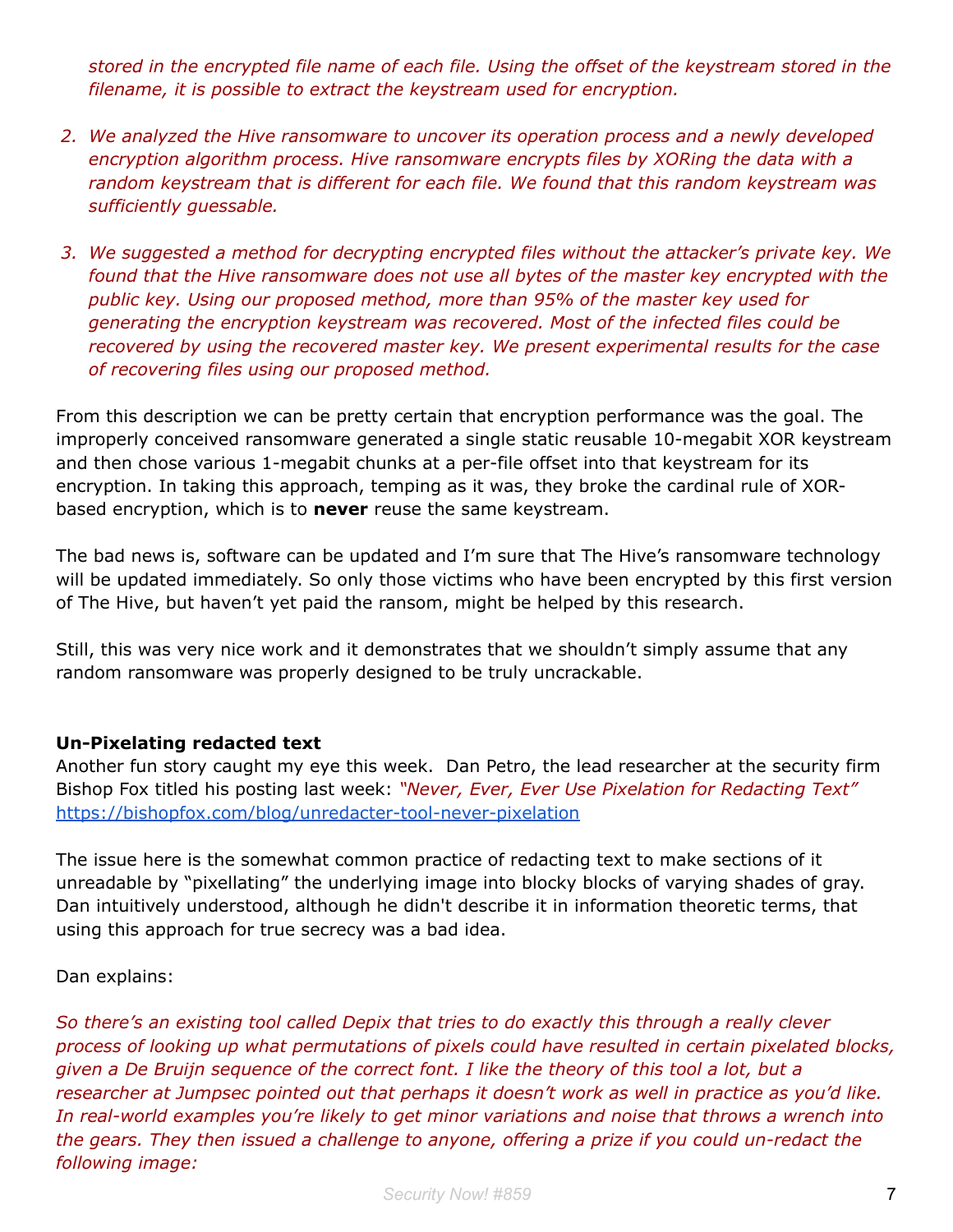*stored in the encrypted file name of each file. Using the offset of the keystream stored in the filename, it is possible to extract the keystream used for encryption.*

- *2. We analyzed the Hive ransomware to uncover its operation process and a newly developed encryption algorithm process. Hive ransomware encrypts files by XORing the data with a random keystream that is different for each file. We found that this random keystream was sufficiently guessable.*
- *3. We suggested a method for decrypting encrypted files without the attacker's private key. We found that the Hive ransomware does not use all bytes of the master key encrypted with the public key. Using our proposed method, more than 95% of the master key used for generating the encryption keystream was recovered. Most of the infected files could be recovered by using the recovered master key. We present experimental results for the case of recovering files using our proposed method.*

From this description we can be pretty certain that encryption performance was the goal. The improperly conceived ransomware generated a single static reusable 10-megabit XOR keystream and then chose various 1-megabit chunks at a per-file offset into that keystream for its encryption. In taking this approach, temping as it was, they broke the cardinal rule of XORbased encryption, which is to **never** reuse the same keystream.

The bad news is, software can be updated and I'm sure that The Hive's ransomware technology will be updated immediately. So only those victims who have been encrypted by this first version of The Hive, but haven't yet paid the ransom, might be helped by this research.

Still, this was very nice work and it demonstrates that we shouldn't simply assume that any random ransomware was properly designed to be truly uncrackable.

#### **Un-Pixelating redacted text**

Another fun story caught my eye this week. Dan Petro, the lead researcher at the security firm Bishop Fox titled his posting last week: *"Never, Ever, Ever Use Pixelation for Redacting Text"* <https://bishopfox.com/blog/unredacter-tool-never-pixelation>

The issue here is the somewhat common practice of redacting text to make sections of it unreadable by "pixellating" the underlying image into blocky blocks of varying shades of gray. Dan intuitively understood, although he didn't describe it in information theoretic terms, that using this approach for true secrecy was a bad idea.

Dan explains:

*So there's an existing tool called Depix that tries to do exactly this through a really clever process of looking up what permutations of pixels could have resulted in certain pixelated blocks, given a De Bruijn sequence of the correct font. I like the theory of this tool a lot, but a researcher at Jumpsec pointed out that perhaps it doesn't work as well in practice as you'd like. In real-world examples you're likely to get minor variations and noise that throws a wrench into the gears. They then issued a challenge to anyone, offering a prize if you could un-redact the following image:*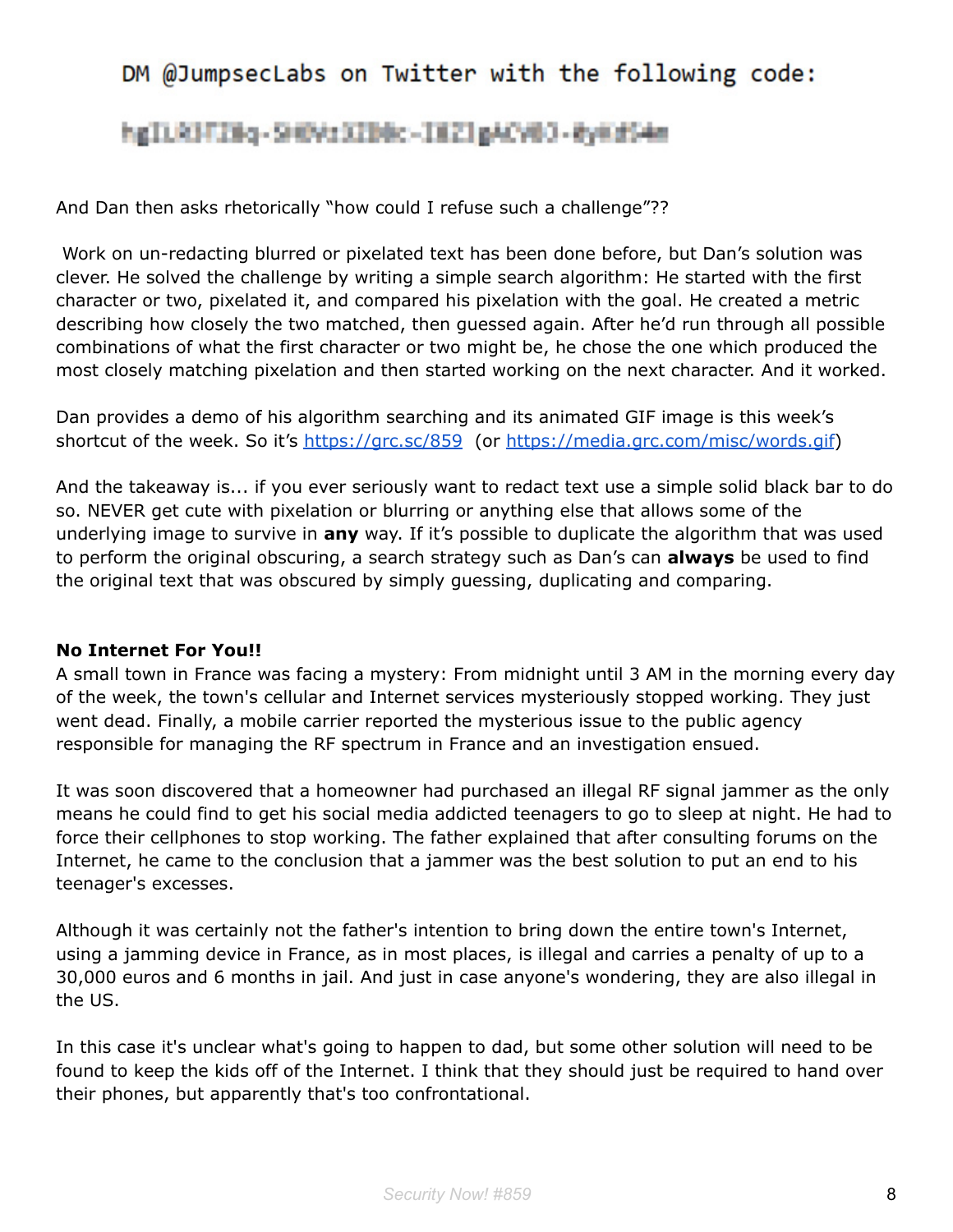## DM @JumpsecLabs on Twitter with the following code:

## hgILRHTINg-SHW13IB0c-IEZIgACV03-0y6dS4m

And Dan then asks rhetorically "how could I refuse such a challenge"??

Work on un-redacting blurred or pixelated text has been done before, but Dan's solution was clever. He solved the challenge by writing a simple search algorithm: He started with the first character or two, pixelated it, and compared his pixelation with the goal. He created a metric describing how closely the two matched, then guessed again. After he'd run through all possible combinations of what the first character or two might be, he chose the one which produced the most closely matching pixelation and then started working on the next character. And it worked.

Dan provides a demo of his algorithm searching and its animated GIF image is this week's shortcut of the week. So it's <https://grc.sc/859> (or <https://media.grc.com/misc/words.gif>)

And the takeaway is... if you ever seriously want to redact text use a simple solid black bar to do so. NEVER get cute with pixelation or blurring or anything else that allows some of the underlying image to survive in **any** way. If it's possible to duplicate the algorithm that was used to perform the original obscuring, a search strategy such as Dan's can **always** be used to find the original text that was obscured by simply guessing, duplicating and comparing.

#### **No Internet For You!!**

A small town in France was facing a mystery: From midnight until 3 AM in the morning every day of the week, the town's cellular and Internet services mysteriously stopped working. They just went dead. Finally, a mobile carrier reported the mysterious issue to the public agency responsible for managing the RF spectrum in France and an investigation ensued.

It was soon discovered that a homeowner had purchased an illegal RF signal jammer as the only means he could find to get his social media addicted teenagers to go to sleep at night. He had to force their cellphones to stop working. The father explained that after consulting forums on the Internet, he came to the conclusion that a jammer was the best solution to put an end to his teenager's excesses.

Although it was certainly not the father's intention to bring down the entire town's Internet, using a jamming device in France, as in most places, is illegal and carries a penalty of up to a 30,000 euros and 6 months in jail. And just in case anyone's wondering, they are also illegal in the US.

In this case it's unclear what's going to happen to dad, but some other solution will need to be found to keep the kids off of the Internet. I think that they should just be required to hand over their phones, but apparently that's too confrontational.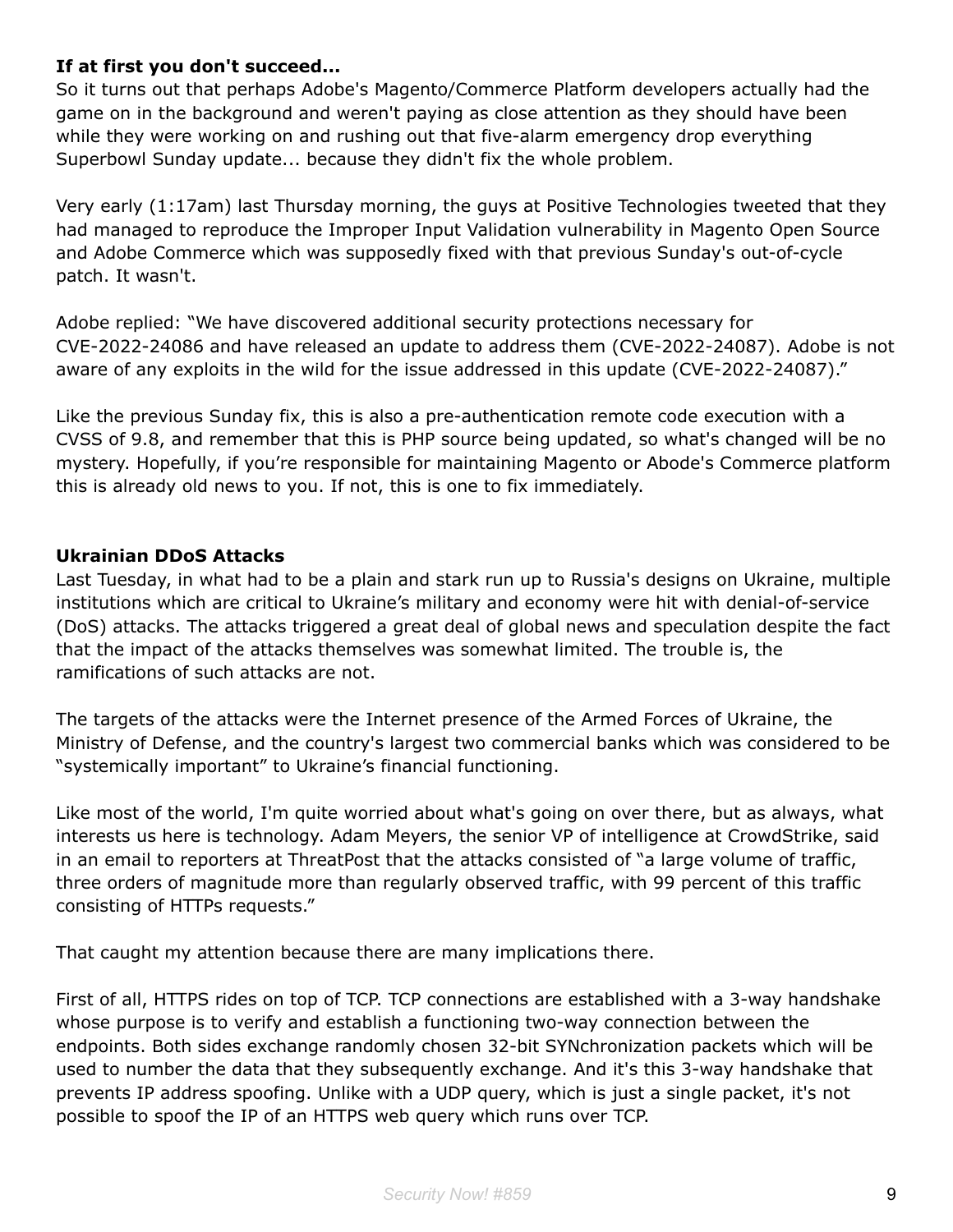## **If at first you don't succeed...**

So it turns out that perhaps Adobe's Magento/Commerce Platform developers actually had the game on in the background and weren't paying as close attention as they should have been while they were working on and rushing out that five-alarm emergency drop everything Superbowl Sunday update... because they didn't fix the whole problem.

Very early (1:17am) last Thursday morning, the guys at Positive Technologies tweeted that they had managed to reproduce the Improper Input Validation vulnerability in Magento Open Source and Adobe Commerce which was supposedly fixed with that previous Sunday's out-of-cycle patch. It wasn't.

Adobe replied: "We have discovered additional security protections necessary for CVE-2022-24086 and have released an update to address them (CVE-2022-24087). Adobe is not aware of any exploits in the wild for the issue addressed in this update (CVE-2022-24087)."

Like the previous Sunday fix, this is also a pre-authentication remote code execution with a CVSS of 9.8, and remember that this is PHP source being updated, so what's changed will be no mystery. Hopefully, if you're responsible for maintaining Magento or Abode's Commerce platform this is already old news to you. If not, this is one to fix immediately.

## **Ukrainian DDoS Attacks**

Last Tuesday, in what had to be a plain and stark run up to Russia's designs on Ukraine, multiple institutions which are critical to Ukraine's military and economy were hit with denial-of-service (DoS) attacks. The attacks triggered a great deal of global news and speculation despite the fact that the impact of the attacks themselves was somewhat limited. The trouble is, the ramifications of such attacks are not.

The targets of the attacks were the Internet presence of the Armed Forces of Ukraine, the Ministry of Defense, and the country's largest two commercial banks which was considered to be "systemically important" to Ukraine's financial functioning.

Like most of the world, I'm quite worried about what's going on over there, but as always, what interests us here is technology. Adam Meyers, the senior VP of intelligence at CrowdStrike, said in an email to reporters at ThreatPost that the attacks consisted of "a large volume of traffic, three orders of magnitude more than regularly observed traffic, with 99 percent of this traffic consisting of HTTPs requests."

That caught my attention because there are many implications there.

First of all, HTTPS rides on top of TCP. TCP connections are established with a 3-way handshake whose purpose is to verify and establish a functioning two-way connection between the endpoints. Both sides exchange randomly chosen 32-bit SYNchronization packets which will be used to number the data that they subsequently exchange. And it's this 3-way handshake that prevents IP address spoofing. Unlike with a UDP query, which is just a single packet, it's not possible to spoof the IP of an HTTPS web query which runs over TCP.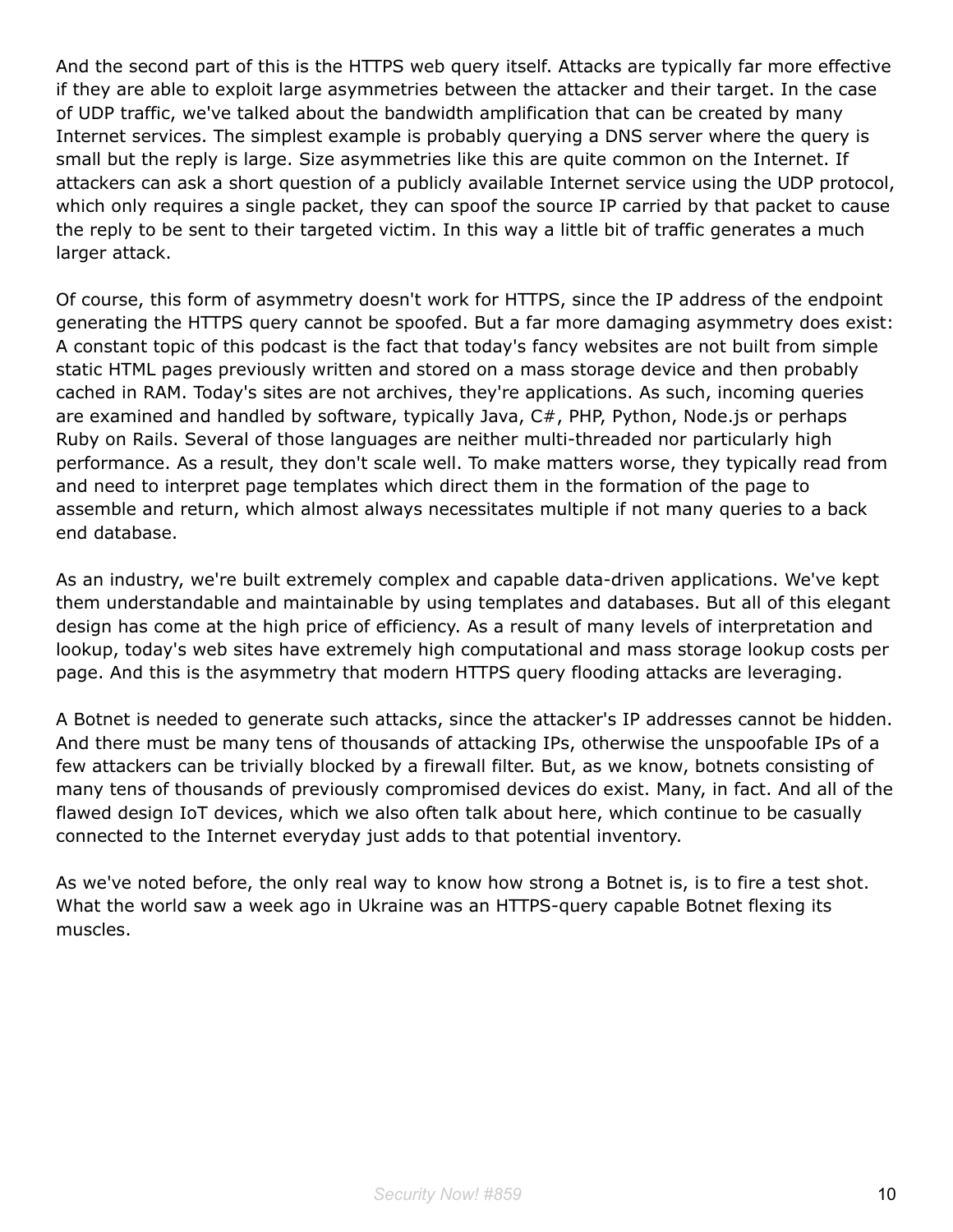And the second part of this is the HTTPS web query itself. Attacks are typically far more effective if they are able to exploit large asymmetries between the attacker and their target. In the case of UDP traffic, we've talked about the bandwidth amplification that can be created by many Internet services. The simplest example is probably querying a DNS server where the query is small but the reply is large. Size asymmetries like this are quite common on the Internet. If attackers can ask a short question of a publicly available Internet service using the UDP protocol, which only requires a single packet, they can spoof the source IP carried by that packet to cause the reply to be sent to their targeted victim. In this way a little bit of traffic generates a much larger attack.

Of course, this form of asymmetry doesn't work for HTTPS, since the IP address of the endpoint generating the HTTPS query cannot be spoofed. But a far more damaging asymmetry does exist: A constant topic of this podcast is the fact that today's fancy websites are not built from simple static HTML pages previously written and stored on a mass storage device and then probably cached in RAM. Today's sites are not archives, they're applications. As such, incoming queries are examined and handled by software, typically Java, C#, PHP, Python, Node.js or perhaps Ruby on Rails. Several of those languages are neither multi-threaded nor particularly high performance. As a result, they don't scale well. To make matters worse, they typically read from and need to interpret page templates which direct them in the formation of the page to assemble and return, which almost always necessitates multiple if not many queries to a back end database.

As an industry, we're built extremely complex and capable data-driven applications. We've kept them understandable and maintainable by using templates and databases. But all of this elegant design has come at the high price of efficiency. As a result of many levels of interpretation and lookup, today's web sites have extremely high computational and mass storage lookup costs per page. And this is the asymmetry that modern HTTPS query flooding attacks are leveraging.

A Botnet is needed to generate such attacks, since the attacker's IP addresses cannot be hidden. And there must be many tens of thousands of attacking IPs, otherwise the unspoofable IPs of a few attackers can be trivially blocked by a firewall filter. But, as we know, botnets consisting of many tens of thousands of previously compromised devices do exist. Many, in fact. And all of the flawed design IoT devices, which we also often talk about here, which continue to be casually connected to the Internet everyday just adds to that potential inventory.

As we've noted before, the only real way to know how strong a Botnet is, is to fire a test shot. What the world saw a week ago in Ukraine was an HTTPS-query capable Botnet flexing its muscles.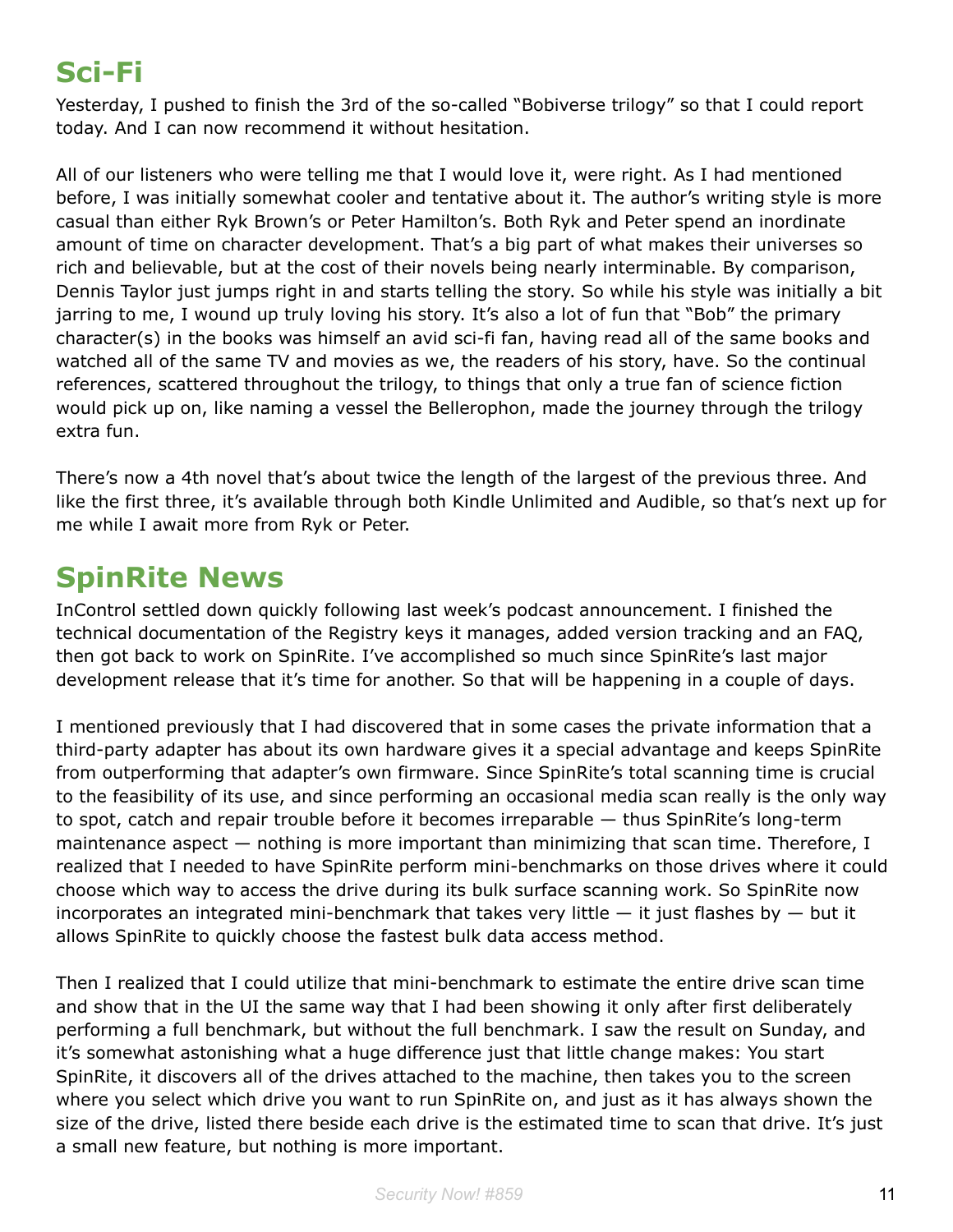# **Sci-Fi**

Yesterday, I pushed to finish the 3rd of the so-called "Bobiverse trilogy" so that I could report today. And I can now recommend it without hesitation.

All of our listeners who were telling me that I would love it, were right. As I had mentioned before, I was initially somewhat cooler and tentative about it. The author's writing style is more casual than either Ryk Brown's or Peter Hamilton's. Both Ryk and Peter spend an inordinate amount of time on character development. That's a big part of what makes their universes so rich and believable, but at the cost of their novels being nearly interminable. By comparison, Dennis Taylor just jumps right in and starts telling the story. So while his style was initially a bit jarring to me, I wound up truly loving his story. It's also a lot of fun that "Bob" the primary character(s) in the books was himself an avid sci-fi fan, having read all of the same books and watched all of the same TV and movies as we, the readers of his story, have. So the continual references, scattered throughout the trilogy, to things that only a true fan of science fiction would pick up on, like naming a vessel the Bellerophon, made the journey through the trilogy extra fun.

There's now a 4th novel that's about twice the length of the largest of the previous three. And like the first three, it's available through both Kindle Unlimited and Audible, so that's next up for me while I await more from Ryk or Peter.

## **SpinRite News**

InControl settled down quickly following last week's podcast announcement. I finished the technical documentation of the Registry keys it manages, added version tracking and an FAQ, then got back to work on SpinRite. I've accomplished so much since SpinRite's last major development release that it's time for another. So that will be happening in a couple of days.

I mentioned previously that I had discovered that in some cases the private information that a third-party adapter has about its own hardware gives it a special advantage and keeps SpinRite from outperforming that adapter's own firmware. Since SpinRite's total scanning time is crucial to the feasibility of its use, and since performing an occasional media scan really is the only way to spot, catch and repair trouble before it becomes irreparable — thus SpinRite's long-term maintenance aspect — nothing is more important than minimizing that scan time. Therefore, I realized that I needed to have SpinRite perform mini-benchmarks on those drives where it could choose which way to access the drive during its bulk surface scanning work. So SpinRite now incorporates an integrated mini-benchmark that takes very little  $-$  it just flashes by  $-$  but it allows SpinRite to quickly choose the fastest bulk data access method.

Then I realized that I could utilize that mini-benchmark to estimate the entire drive scan time and show that in the UI the same way that I had been showing it only after first deliberately performing a full benchmark, but without the full benchmark. I saw the result on Sunday, and it's somewhat astonishing what a huge difference just that little change makes: You start SpinRite, it discovers all of the drives attached to the machine, then takes you to the screen where you select which drive you want to run SpinRite on, and just as it has always shown the size of the drive, listed there beside each drive is the estimated time to scan that drive. It's just a small new feature, but nothing is more important.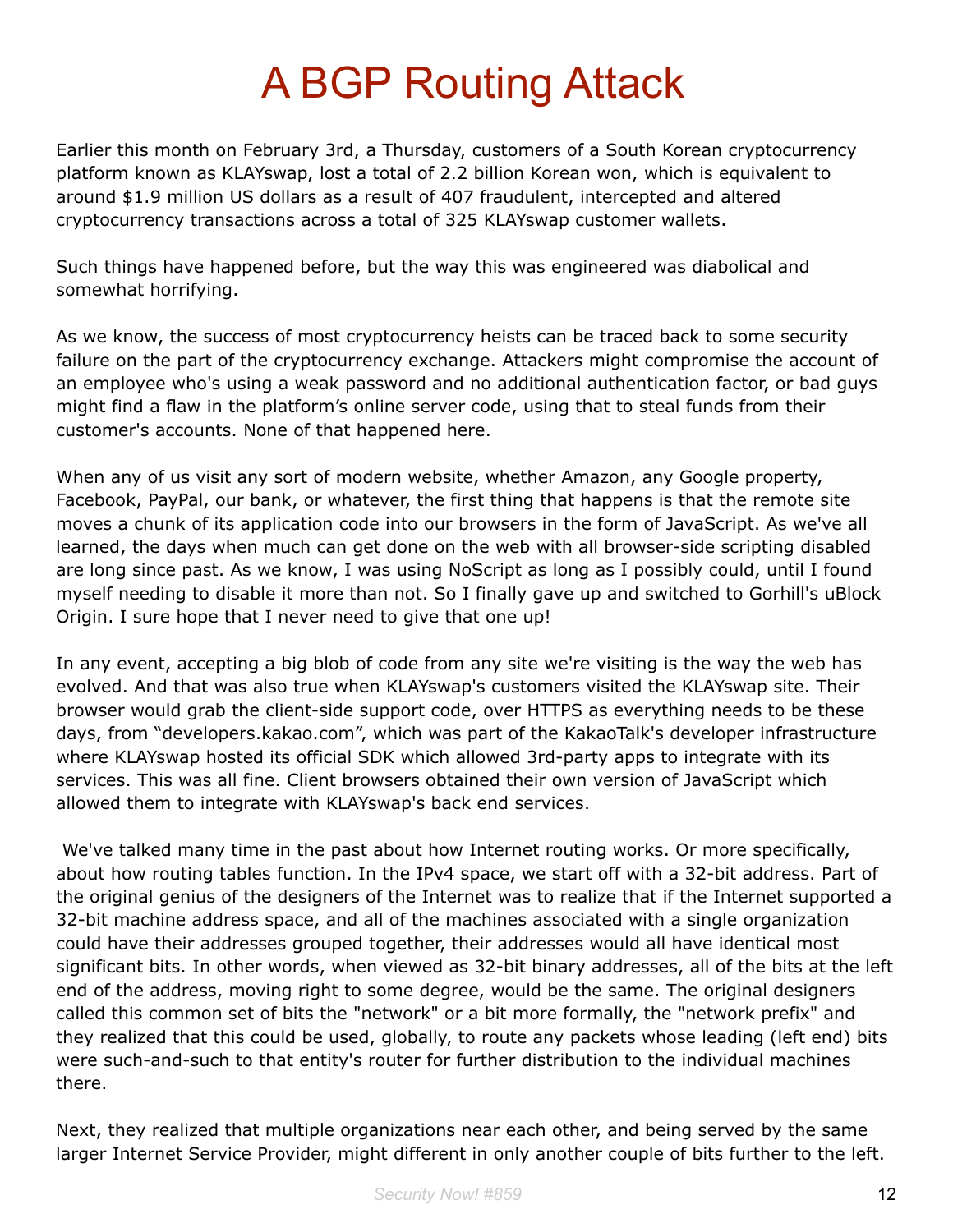# A BGP Routing Attack

Earlier this month on February 3rd, a Thursday, customers of a South Korean cryptocurrency platform known as KLAYswap, lost a total of 2.2 billion Korean won, which is equivalent to around \$1.9 million US dollars as a result of 407 fraudulent, intercepted and altered cryptocurrency transactions across a total of 325 KLAYswap customer wallets.

Such things have happened before, but the way this was engineered was diabolical and somewhat horrifying.

As we know, the success of most cryptocurrency heists can be traced back to some security failure on the part of the cryptocurrency exchange. Attackers might compromise the account of an employee who's using a weak password and no additional authentication factor, or bad guys might find a flaw in the platform's online server code, using that to steal funds from their customer's accounts. None of that happened here.

When any of us visit any sort of modern website, whether Amazon, any Google property, Facebook, PayPal, our bank, or whatever, the first thing that happens is that the remote site moves a chunk of its application code into our browsers in the form of JavaScript. As we've all learned, the days when much can get done on the web with all browser-side scripting disabled are long since past. As we know, I was using NoScript as long as I possibly could, until I found myself needing to disable it more than not. So I finally gave up and switched to Gorhill's uBlock Origin. I sure hope that I never need to give that one up!

In any event, accepting a big blob of code from any site we're visiting is the way the web has evolved. And that was also true when KLAYswap's customers visited the KLAYswap site. Their browser would grab the client-side support code, over HTTPS as everything needs to be these days, from "developers.kakao.com", which was part of the KakaoTalk's developer infrastructure where KLAYswap hosted its official SDK which allowed 3rd-party apps to integrate with its services. This was all fine. Client browsers obtained their own version of JavaScript which allowed them to integrate with KLAYswap's back end services.

We've talked many time in the past about how Internet routing works. Or more specifically, about how routing tables function. In the IPv4 space, we start off with a 32-bit address. Part of the original genius of the designers of the Internet was to realize that if the Internet supported a 32-bit machine address space, and all of the machines associated with a single organization could have their addresses grouped together, their addresses would all have identical most significant bits. In other words, when viewed as 32-bit binary addresses, all of the bits at the left end of the address, moving right to some degree, would be the same. The original designers called this common set of bits the "network" or a bit more formally, the "network prefix" and they realized that this could be used, globally, to route any packets whose leading (left end) bits were such-and-such to that entity's router for further distribution to the individual machines there.

Next, they realized that multiple organizations near each other, and being served by the same larger Internet Service Provider, might different in only another couple of bits further to the left.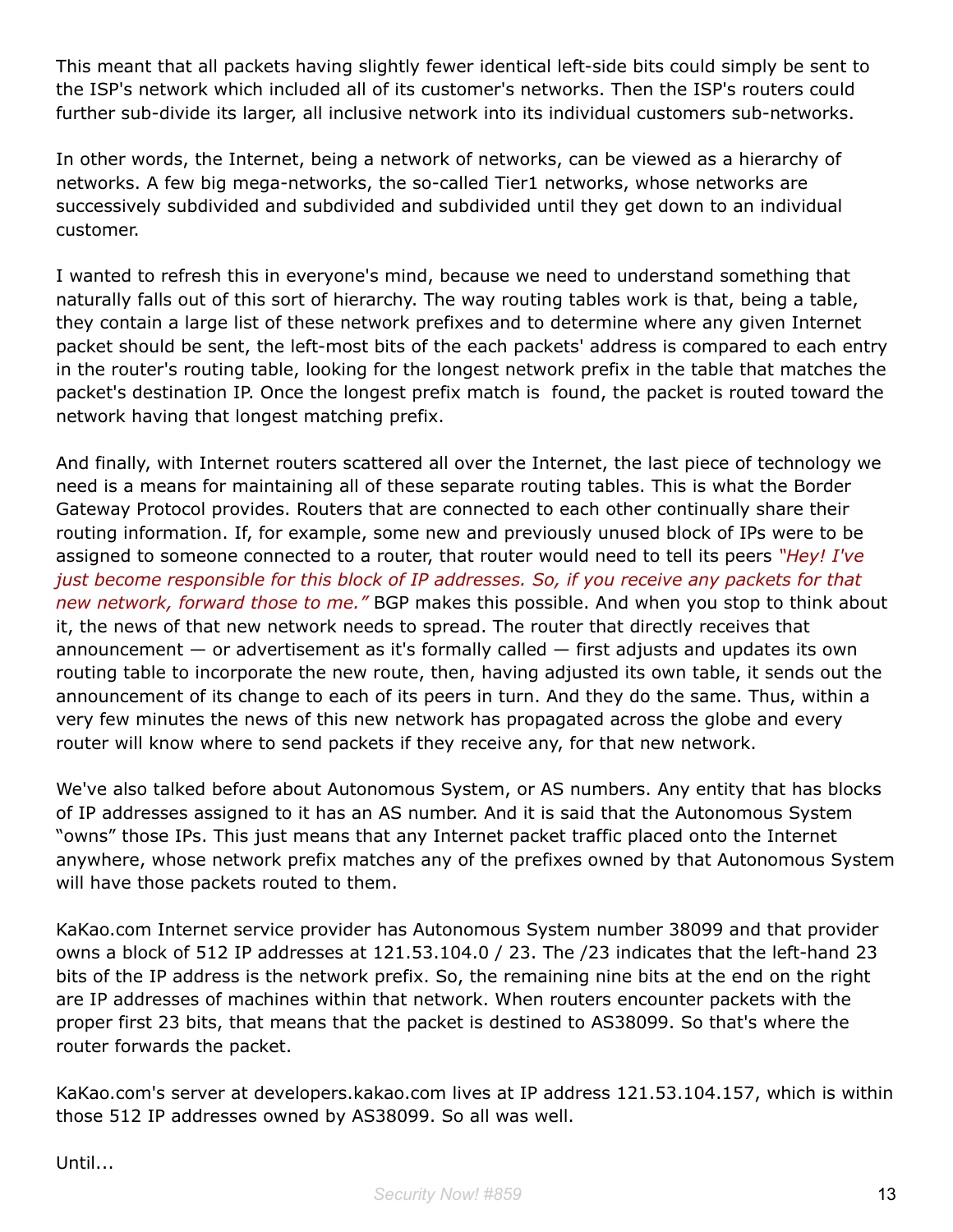This meant that all packets having slightly fewer identical left-side bits could simply be sent to the ISP's network which included all of its customer's networks. Then the ISP's routers could further sub-divide its larger, all inclusive network into its individual customers sub-networks.

In other words, the Internet, being a network of networks, can be viewed as a hierarchy of networks. A few big mega-networks, the so-called Tier1 networks, whose networks are successively subdivided and subdivided and subdivided until they get down to an individual customer.

I wanted to refresh this in everyone's mind, because we need to understand something that naturally falls out of this sort of hierarchy. The way routing tables work is that, being a table, they contain a large list of these network prefixes and to determine where any given Internet packet should be sent, the left-most bits of the each packets' address is compared to each entry in the router's routing table, looking for the longest network prefix in the table that matches the packet's destination IP. Once the longest prefix match is found, the packet is routed toward the network having that longest matching prefix.

And finally, with Internet routers scattered all over the Internet, the last piece of technology we need is a means for maintaining all of these separate routing tables. This is what the Border Gateway Protocol provides. Routers that are connected to each other continually share their routing information. If, for example, some new and previously unused block of IPs were to be assigned to someone connected to a router, that router would need to tell its peers *"Hey! I've just become responsible for this block of IP addresses. So, if you receive any packets for that new network, forward those to me."* BGP makes this possible. And when you stop to think about it, the news of that new network needs to spread. The router that directly receives that announcement — or advertisement as it's formally called — first adjusts and updates its own routing table to incorporate the new route, then, having adjusted its own table, it sends out the announcement of its change to each of its peers in turn. And they do the same. Thus, within a very few minutes the news of this new network has propagated across the globe and every router will know where to send packets if they receive any, for that new network.

We've also talked before about Autonomous System, or AS numbers. Any entity that has blocks of IP addresses assigned to it has an AS number. And it is said that the Autonomous System "owns" those IPs. This just means that any Internet packet traffic placed onto the Internet anywhere, whose network prefix matches any of the prefixes owned by that Autonomous System will have those packets routed to them.

KaKao.com Internet service provider has Autonomous System number 38099 and that provider owns a block of 512 IP addresses at 121.53.104.0 / 23. The /23 indicates that the left-hand 23 bits of the IP address is the network prefix. So, the remaining nine bits at the end on the right are IP addresses of machines within that network. When routers encounter packets with the proper first 23 bits, that means that the packet is destined to AS38099. So that's where the router forwards the packet.

KaKao.com's server at developers.kakao.com lives at IP address 121.53.104.157, which is within those 512 IP addresses owned by AS38099. So all was well.

Until...